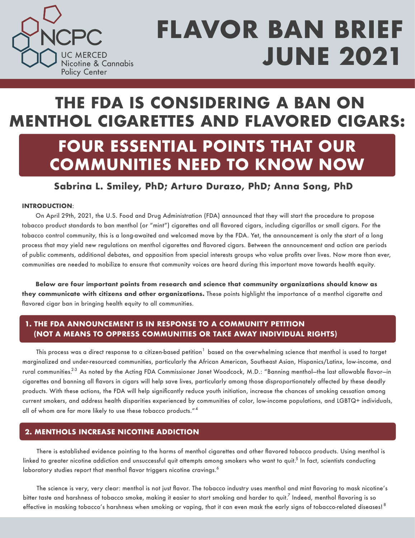

## **THE FDA IS CONSIDERING A BAN ON MENTHOL CIGARETTES AND FLAVORED CIGARS:**

### **FOUR ESSENTIAL POINTS THAT OUR COMMUNITIES NEED TO KNOW NOW**

### **Sabrina L. Smiley, PhD; Arturo Durazo, PhD; Anna Song, PhD**

### **INTRODUCTION**:

On April 29th, 2021, the U.S. Food and Drug Administration (FDA) announced that they will start the procedure to propose tobacco product standards to ban menthol (or "mint") cigarettes and all flavored cigars, including cigarillos or small cigars. For the tobacco control community, this is a long-awaited and welcomed move by the FDA. Yet, the announcement is only the start of a long process that may yield new regulations on menthol cigarettes and flavored cigars. Between the announcement and action are periods of public comments, additional debates, and opposition from special interests groups who value profits over lives. Now more than ever, communities are needed to mobilize to ensure that community voices are heard during this important move towards health equity.

**Below are four important points from research and science that community organizations should know as they communicate with citizens and other organizations.** These points highlight the importance of a menthol cigarette and flavored cigar ban in bringing health equity to all communities.

### **(NOT A MEANS TO OPPRESS COMMUNITIES OR TAKE AWAY INDIVIDUAL RIGHTS) 1. THE FDA ANNOUNCEMENT IS IN RESPONSE TO A COMMUNITY PETITION**

This process was a direct response to a citizen-based petition $^{\rm 1}$  based on the overwhelming science that menthol is used to target marginalized and under-resourced communities, particularly the African American, Southeast Asian, Hispanics/Latinx, low-income, and rural communities.<sup>2-3</sup> As noted by the Acting FDA Commissioner Janet Woodcock, M.D.: "Banning menthol—the last allowable flavor—in cigarettes and banning all flavors in cigars will help save lives, particularly among those disproportionately affected by these deadly products. With these actions, the FDA will help significantly reduce youth initiation, increase the chances of smoking cessation among current smokers, and address health disparities experienced by communities of color, low-income populations, and LGBTQ+ individuals, all of whom are far more likely to use these tobacco products."<sup>4</sup>

### **2. MENTHOLS INCREASE NICOTINE ADDICTION**

There is established evidence pointing to the harms of menthol cigarettes and other flavored tobacco products. Using menthol is linked to greater nicotine addiction and unsuccessful quit attempts among smokers who want to quit. $^5$  In fact, scientists conducting laboratory studies report that menthol flavor triggers nicotine cravings. $^6$ 

The science is very, very clear: menthol is not just flavor. The tobacco industry uses menthol and mint flavoring to mask nicotine's bitter taste and harshness of tobacco smoke, making it easier to start smoking and harder to quit. Indeed, menthol flavoring is so effective in masking tobacco's harshness when smoking or vaping, that it can even mask the early signs of tobacco-related diseases!  $^8$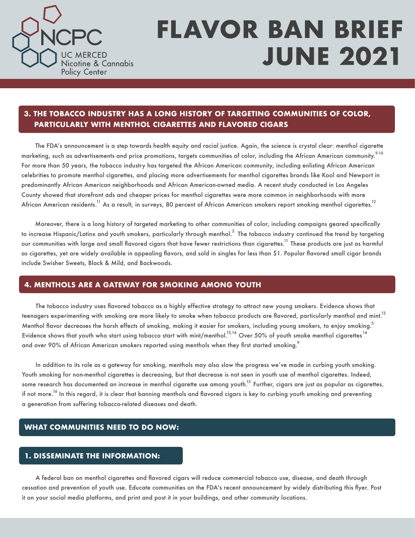

### **PARTICULARLY WITH MENTHOL CIGARETTES AND FLAVORED CIGARS 3. THE TOBACCO INDUSTRY HAS A LONG HISTORY OF TARGETING COMMUNITIES OF COLOR,**

The FDA's announcement is a step towards health equity and racial justice. Again, the science is crystal clear: menthol cigarette marketing, such as advertisements and price promotions, targets communities of color, including the African American community.<sup>9-10</sup> For more than 50 years, the tobacco industry has targeted the African American community, including enlisting African American celebrities to promote menthol cigarettes, and placing more advertisements for menthol cigarettes brands like Kool and Newport in predominantly African American neighborhoods and African American-owned media. A recent study conducted in Los Angeles County showed that storefront ads and cheaper prices for menthol cigarettes were more common in neighborhoods with more African American residents. $^{\rm 11}$  As a result, in surveys, 80 percent of African American smokers report smoking menthol cigarettes. $^{\rm 12}$ 

Moreover, there is a long history of targeted marketing to other communities of color, including campaigns geared specifically to increase Hispanic/Latinx and youth smokers, particularly through menthol. $^2\,$  The tobacco industry continued the trend by targeting our communities with large and small flavored cigars that have fewer restrictions than cigarettes. $^{11}$  These products are just as harmful as cigarettes, yet are widely available in appealing flavors, and sold in singles for less than \$1. Popular flavored small cigar brands include Swisher Sweets, Black & Mild, and Backwoods.

### **4. MENTHOLS ARE A GATEWAY FOR SMOKING AMONG YOUTH**

The tobacco industry uses flavored tobacco as a highly effective strategy to attract new young smokers. Evidence shows that teenagers experimenting with smoking are more likely to smoke when tobacco products are flavored, particularly menthol and mint. $^{12}$ Menthol flavor decreases the harsh effects of smoking, making it easier for smokers, including young smokers, to enjoy smoking. $^5$ Evidence shows that youth who start using tobacco start with mint/menthol. $^{13,14}$  Over 50% of youth smoke menthol cigarettes  $^{14}$ and over 90% of African American smokers reported using menthols when they first started smoking. $^{\circ}$ 

In addition to its role as a gateway for smoking, menthols may also slow the progress we've made in curbing youth smoking. Youth smoking for non-menthol cigarettes is decreasing, but that decrease is not seen in youth use of menthol cigarettes. Indeed, some research has documented an increase in menthol cigarette use among youth.<sup>15</sup> Further, cigars are just as popular as cigarettes, if not more.<sup>16</sup> In this regard, it is clear that banning menthols and flavored cigars is key to curbing youth smoking and preventing a generation from suffering tobacco-related diseases and death.

### **WHAT COMMUNITIES NEED TO DO NOW:**

### **1. DISSEMINATE THE INFORMATION:**

A federal ban on menthol cigarettes and flavored cigars will reduce commercial tobacco use, disease, and death through cessation and prevention of youth use. Educate communities on the FDA's recent announcement by widely distributing this flyer. Post it on your social media platforms, and print and post it in your buildings, and other community locations.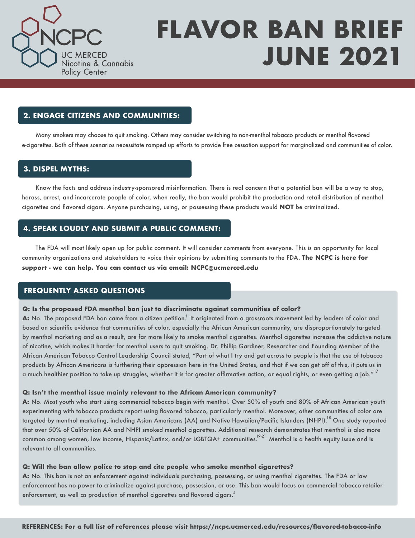

### **2. ENGAGE CITIZENS AND COMMUNITIES:**

Many smokers may choose to quit smoking. Others may consider switching to non-menthol tobacco products or menthol flavored e-cigarettes. Both of these scenarios necessitate ramped up efforts to provide free cessation support for marginalized and communities of color.

### **3. DISPEL MYTHS:**

Know the facts and address industry-sponsored misinformation. There is real concern that a potential ban will be a way to stop, harass, arrest, and incarcerate people of color, when really, the ban would prohibit the production and retail distribution of menthol cigarettes and flavored cigars. Anyone purchasing, using, or possessing these products would **NOT** be criminalized.

### **4. SPEAK LOUDLY AND SUBMIT A PUBLIC COMMENT:**

The FDA will most likely open up for public comment. It will consider comments from everyone. This is an opportunity for local community organizations and stakeholders to voice their opinions by submitting comments to the FDA. **The NCPC is here for support - we can help. You can contact us via email: NCPC@ucmerced.edu** 

### **FREQUENTLY ASKED QUESTIONS**

#### **Q: Is the proposed FDA menthol ban just to discriminate against communities of color?**

**A:** No. The proposed FDA ban came from a citizen petition. $^1$  It originated from a grassroots movement led by leaders of color and based on scientific evidence that communities of color, especially the African American community, are disproportionately targeted by menthol marketing and as a result, are far more likely to smoke menthol cigarettes. Menthol cigarettes increase the addictive nature of nicotine, which makes it harder for menthol users to quit smoking. Dr. Phillip Gardiner, Researcher and Founding Member of the African American Tobacco Control Leadership Council stated, "Part of what I try and get across to people is that the use of tobacco products by African Americans is furthering their oppression here in the United States, and that if we can get off of this, it puts us in a much healthier position to take up struggles, whether it is for greater affirmative action, or equal rights, or even getting a job." $^{17}$ 

#### **Q: Isn't the menthol issue mainly relevant to the African American community?**

**A:** No. Most youth who start using commercial tobacco begin with menthol. Over 50% of youth and 80% of African American youth experimenting with tobacco products report using flavored tobacco, particularly menthol. Moreover, other communities of color are targeted by menthol marketing, including Asian Americans (AA) and Native Hawaiian/Pacific Islanders (NHPI).<sup>18</sup> One study reported that over 50% of Californian AA and NHPI smoked menthol cigarettes. Additional research demonstrates that menthol is also more common among women, low income, Hispanic/Latinx, and/or LGBTQA+ communities. Menthol is a health equity issue and is relevant to all communities.

#### **Q: Will the ban allow police to stop and cite people who smoke menthol cigarettes?**

**A:** No. This ban is not an enforcement against individuals purchasing, possessing, or using menthol cigarettes. The FDA or law enforcement has no power to criminalize against purchase, possession, or use. This ban would focus on commercial tobacco retailer enforcement, as well as production of menthol cigarettes and flavored cigars. $^{\it 4}$